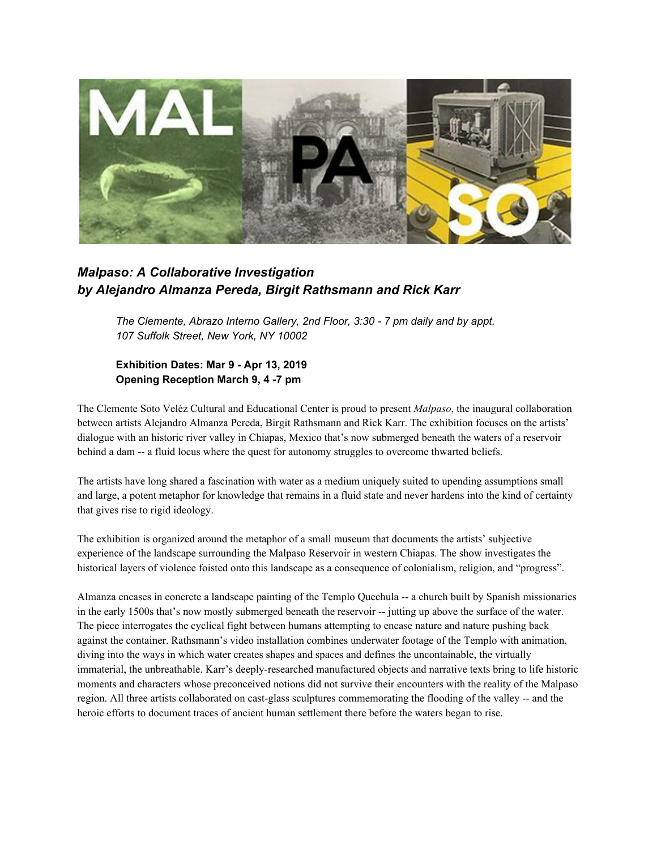

## *Malpaso: A Collaborative Investigation by Alejandro Almanza Pereda, Birgit Rathsmann and Rick Karr*

*The Clemente, Abrazo Interno Gallery, 2nd Floor, 3:30 - 7 pm daily and by appt. 107 Suffolk Street, New York, NY 10002*

## **Exhibition Dates: Mar 9 - Apr 13, 2019 Opening Reception March 9, 4 -7 pm**

The Clemente Soto Veléz Cultural and Educational Center is proud to present *Malpaso*, the inaugural collaboration between artists Alejandro Almanza Pereda, Birgit Rathsmann and Rick Karr. The exhibition focuses on the artists' dialogue with an historic river valley in Chiapas, Mexico that's now submerged beneath the waters of a reservoir behind a dam -- a fluid locus where the quest for autonomy struggles to overcome thwarted beliefs.

The artists have long shared a fascination with water as a medium uniquely suited to upending assumptions small and large, a potent metaphor for knowledge that remains in a fluid state and never hardens into the kind of certainty that gives rise to rigid ideology.

The exhibition is organized around the metaphor of a small museum that documents the artists' subjective experience of the landscape surrounding the Malpaso Reservoir in western Chiapas. The show investigates the historical layers of violence foisted onto this landscape as a consequence of colonialism, religion, and "progress".

Almanza encases in concrete a landscape painting of the Templo Quechula -- a church built by Spanish missionaries in the early 1500s that's now mostly submerged beneath the reservoir -- jutting up above the surface of the water. The piece interrogates the cyclical fight between humans attempting to encase nature and nature pushing back against the container. Rathsmann's video installation combines underwater footage of the Templo with animation, diving into the ways in which water creates shapes and spaces and defines the uncontainable, the virtually immaterial, the unbreathable. Karr's deeply-researched manufactured objects and narrative texts bring to life historic moments and characters whose preconceived notions did not survive their encounters with the reality of the Malpaso region. All three artists collaborated on cast-glass sculptures commemorating the flooding of the valley -- and the heroic efforts to document traces of ancient human settlement there before the waters began to rise.